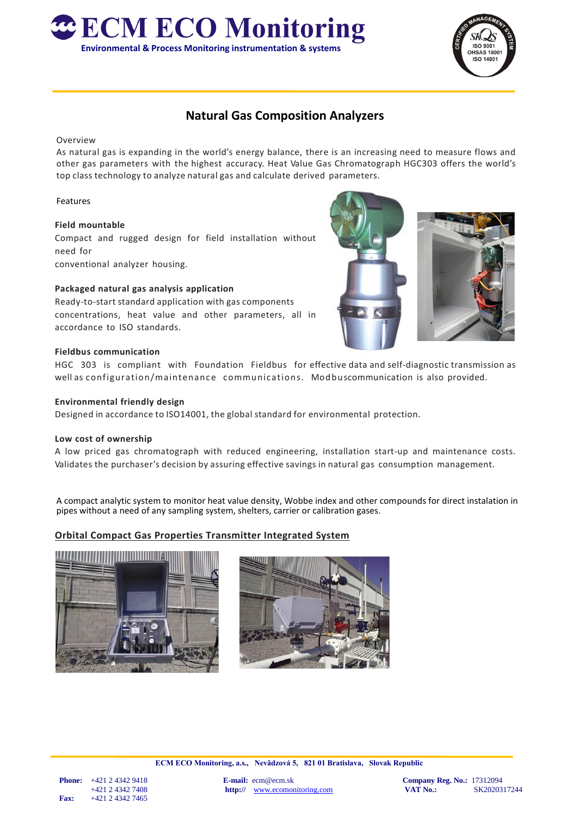



# **Natural Gas Composition Analyzers**

## Overview

As natural gas is expanding in the world's energy balance, there is an increasing need to measure flows and other gas parameters with the highest accuracy. Heat Value Gas Chromatograph HGC303 offers the world's top class technology to analyze natural gas and calculate derived parameters.

# Features

## **Field mountable**

Compact and rugged design for field installation without need for conventional analyzer housing.

# **Packaged natural gas analysis application**

Ready-to-start standard application with gas components concentrations, heat value and other parameters, all in accordance to ISO standards.



#### **Fieldbus communication**

HGC 303 is compliant with Foundation Fieldbus for effective data and self-diagnostic transmission as well as configuration/maintenance communications. Modbuscommunication is also provided.

#### **Environmental friendly design**

Designed in accordance to ISO14001, the global standard for environmental protection.

## **Low cost of ownership**

A low priced gas chromatograph with reduced engineering, installation start-up and maintenance costs. Validates the purchaser's decision by assuring effective savings in natural gas consumption management.

A compact analytic system to monitor heat value density, Wobbe index and other compounds for direct instalation in pipes without a need of any sampling system, shelters, carrier or calibration gases.

# **Orbital Compact Gas Properties Transmitter Integrated System**





**ECM ECO Monitoring, a.s., Nevädzová 5, 821 01 Bratislava, Slovak Republic**

+421 2 4342 7408 **http://** [www.ecomonitoring.com](http://www.ecomonitoring.com/)<br>**Fax:** +421 2 4342 7465  **Fax:** +421 2 4342 7465